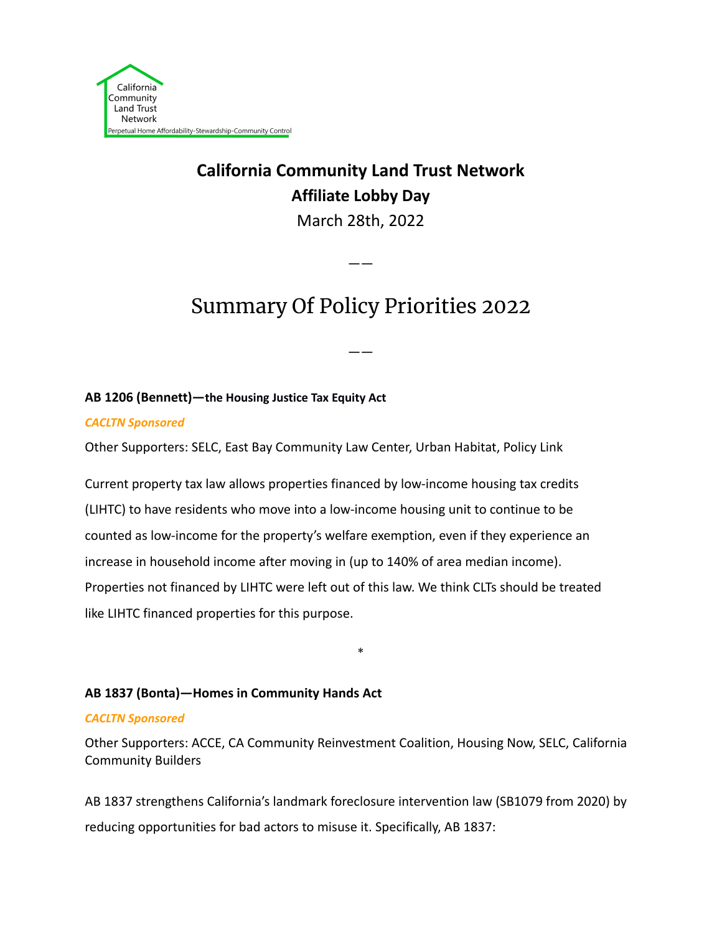

# **California Community Land Trust Network Affiliate Lobby Day**

March 28th, 2022

# Summary Of Policy Priorities 2022

——

——

### **AB 1206 (Bennett)—the Housing Justice Tax Equity Act**

*CACLTN Sponsored*

Other Supporters: SELC, East Bay Community Law Center, Urban Habitat, Policy Link

Current property tax law allows properties financed by low-income housing tax credits (LIHTC) to have residents who move into a low-income housing unit to continue to be counted as low-income for the property's welfare exemption, even if they experience an increase in household income after moving in (up to 140% of area median income). Properties not financed by LIHTC were left out of this law. We think CLTs should be treated like LIHTC financed properties for this purpose.

## **AB 1837 (Bonta)—Homes in Community Hands Act**

#### *CACLTN Sponsored*

Other Supporters: ACCE, CA Community Reinvestment Coalition, Housing Now, SELC, California Community Builders

\*

AB 1837 strengthens California's landmark foreclosure intervention law (SB1079 from 2020) by reducing opportunities for bad actors to misuse it. Specifically, AB 1837: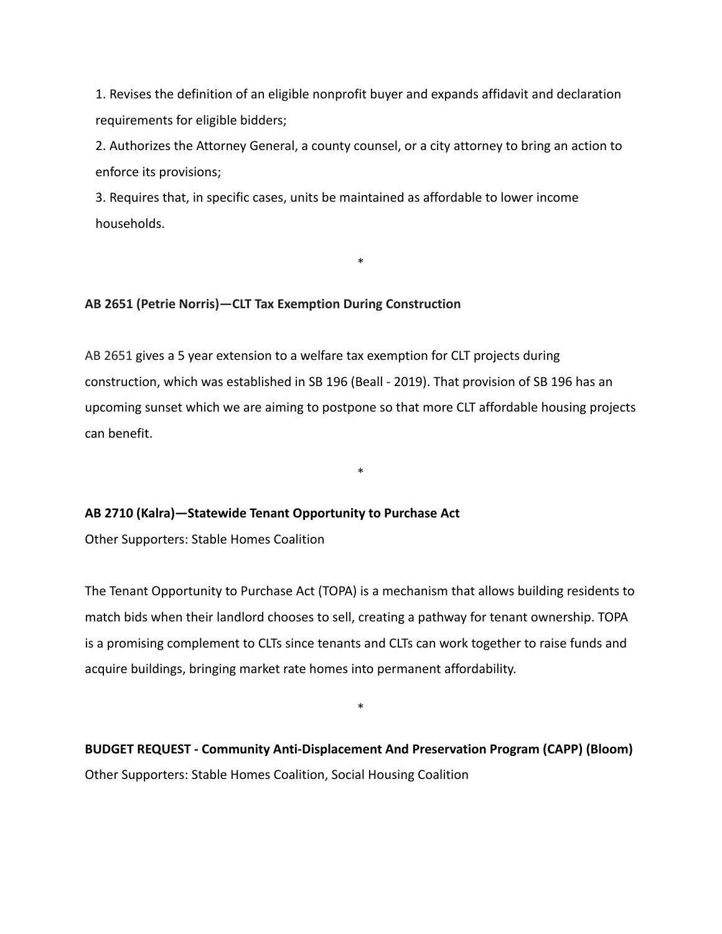1. Revises the definition of an eligible nonprofit buyer and expands affidavit and declaration requirements for eligible bidders;

2. Authorizes the Attorney General, a county counsel, or a city attorney to bring an action to enforce its provisions;

\*

3. Requires that, in specific cases, units be maintained as affordable to lower income households.

#### **AB 2651 (Petrie Norris)—CLT Tax Exemption During Construction**

AB 2651 gives a 5 year extension to a welfare tax exemption for CLT projects during construction, which was established in SB 196 (Beall - 2019). That provision of SB 196 has an upcoming sunset which we are aiming to postpone so that more CLT affordable housing projects can benefit.

\*

#### **AB 2710 (Kalra)—Statewide Tenant Opportunity to Purchase Act**

Other Supporters: Stable Homes Coalition

The Tenant Opportunity to Purchase Act (TOPA) is a mechanism that allows building residents to match bids when their landlord chooses to sell, creating a pathway for tenant ownership. TOPA is a promising complement to CLTs since tenants and CLTs can work together to raise funds and acquire buildings, bringing market rate homes into permanent affordability.

**BUDGET REQUEST - Community Anti-Displacement And Preservation Program (CAPP) (Bloom)** Other Supporters: Stable Homes Coalition, Social Housing Coalition

\*